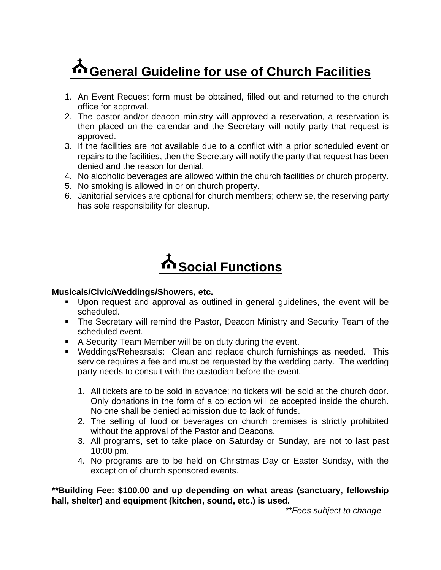# **General Guideline for use of Church Facilities**

- 1. An Event Request form must be obtained, filled out and returned to the church office for approval.
- 2. The pastor and/or deacon ministry will approved a reservation, a reservation is then placed on the calendar and the Secretary will notify party that request is approved.
- 3. If the facilities are not available due to a conflict with a prior scheduled event or repairs to the facilities, then the Secretary will notify the party that request has been denied and the reason for denial.
- 4. No alcoholic beverages are allowed within the church facilities or church property.
- 5. No smoking is allowed in or on church property.
- 6. Janitorial services are optional for church members; otherwise, the reserving party has sole responsibility for cleanup.

# **Social Functions**

#### **Musicals/Civic/Weddings/Showers, etc.**

- Upon request and approval as outlined in general guidelines, the event will be scheduled.
- **The Secretary will remind the Pastor, Deacon Ministry and Security Team of the** scheduled event.
- A Security Team Member will be on duty during the event.
- Weddings/Rehearsals: Clean and replace church furnishings as needed. This service requires a fee and must be requested by the wedding party. The wedding party needs to consult with the custodian before the event.
	- 1. All tickets are to be sold in advance; no tickets will be sold at the church door. Only donations in the form of a collection will be accepted inside the church. No one shall be denied admission due to lack of funds.
	- 2. The selling of food or beverages on church premises is strictly prohibited without the approval of the Pastor and Deacons.
	- 3. All programs, set to take place on Saturday or Sunday, are not to last past 10:00 pm.
	- 4. No programs are to be held on Christmas Day or Easter Sunday, with the exception of church sponsored events.

**\*\*Building Fee: \$100.00 and up depending on what areas (sanctuary, fellowship hall, shelter) and equipment (kitchen, sound, etc.) is used.**

*\*\*Fees subject to change*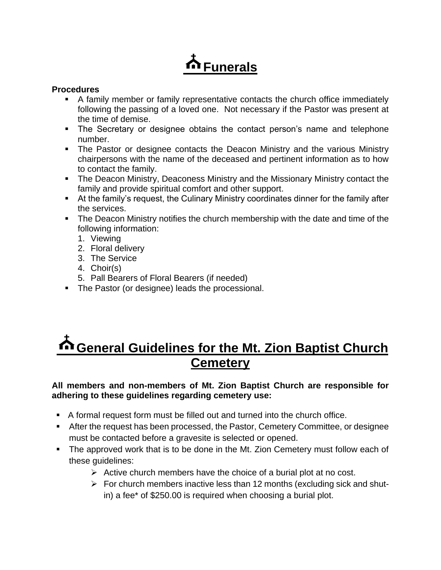### **Funerals**

#### **Procedures**

- A family member or family representative contacts the church office immediately following the passing of a loved one. Not necessary if the Pastor was present at the time of demise.
- **The Secretary or designee obtains the contact person's name and telephone** number.
- **•** The Pastor or designee contacts the Deacon Ministry and the various Ministry chairpersons with the name of the deceased and pertinent information as to how to contact the family.
- **The Deacon Ministry, Deaconess Ministry and the Missionary Ministry contact the** family and provide spiritual comfort and other support.
- At the family's request, the Culinary Ministry coordinates dinner for the family after the services.
- **The Deacon Ministry notifies the church membership with the date and time of the** following information:
	- 1. Viewing
	- 2. Floral delivery
	- 3. The Service
	- 4. Choir(s)
	- 5. Pall Bearers of Floral Bearers (if needed)
- **The Pastor (or designee) leads the processional.**

### **General Guidelines for the Mt. Zion Baptist Church Cemetery**

#### **All members and non-members of Mt. Zion Baptist Church are responsible for adhering to these guidelines regarding cemetery use:**

- A formal request form must be filled out and turned into the church office.
- After the request has been processed, the Pastor, Cemetery Committee, or designee must be contacted before a gravesite is selected or opened.
- The approved work that is to be done in the Mt. Zion Cemetery must follow each of these guidelines:
	- $\triangleright$  Active church members have the choice of a burial plot at no cost.
	- $\triangleright$  For church members inactive less than 12 months (excluding sick and shutin) a fee\* of \$250.00 is required when choosing a burial plot.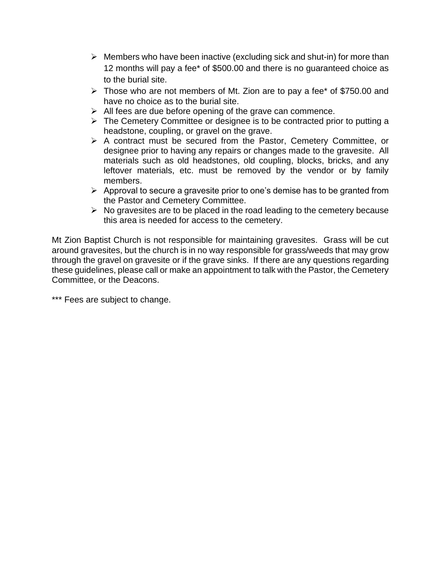- $\triangleright$  Members who have been inactive (excluding sick and shut-in) for more than 12 months will pay a fee\* of \$500.00 and there is no guaranteed choice as to the burial site.
- ➢ Those who are not members of Mt. Zion are to pay a fee\* of \$750.00 and have no choice as to the burial site.
- $\triangleright$  All fees are due before opening of the grave can commence.
- ➢ The Cemetery Committee or designee is to be contracted prior to putting a headstone, coupling, or gravel on the grave.
- ➢ A contract must be secured from the Pastor, Cemetery Committee, or designee prior to having any repairs or changes made to the gravesite. All materials such as old headstones, old coupling, blocks, bricks, and any leftover materials, etc. must be removed by the vendor or by family members.
- ➢ Approval to secure a gravesite prior to one's demise has to be granted from the Pastor and Cemetery Committee.
- $\triangleright$  No gravesites are to be placed in the road leading to the cemetery because this area is needed for access to the cemetery.

Mt Zion Baptist Church is not responsible for maintaining gravesites. Grass will be cut around gravesites, but the church is in no way responsible for grass/weeds that may grow through the gravel on gravesite or if the grave sinks. If there are any questions regarding these guidelines, please call or make an appointment to talk with the Pastor, the Cemetery Committee, or the Deacons.

\*\*\* Fees are subject to change.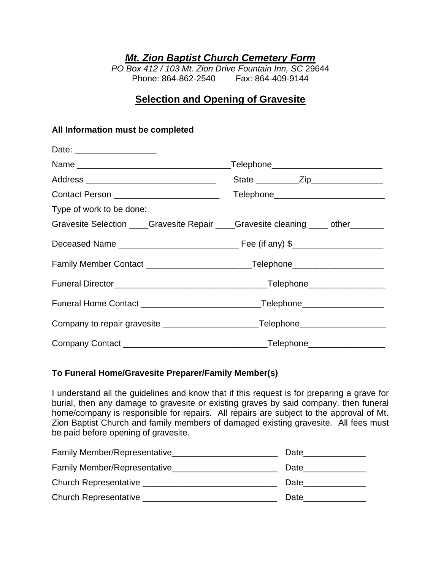*Mt. Zion Baptist Church Cemetery Form*

*PO Box 412 / 103 Mt. Zion Drive Fountain Inn, SC* 29644 Phone: 864-862-2540 Fax: 864-409-9144

#### **Selection and Opening of Gravesite**

#### **All Information must be completed**

| Date: ____________________                                                        |                                             |
|-----------------------------------------------------------------------------------|---------------------------------------------|
|                                                                                   | _Telephone__________________________        |
| Address __________________________________                                        | State ______________Zip____________________ |
| Contact Person ________________________                                           | Telephone___________________________        |
| Type of work to be done:                                                          |                                             |
| Gravesite Selection ____Gravesite Repair ____Gravesite cleaning ____ other ______ |                                             |
|                                                                                   |                                             |
|                                                                                   |                                             |
|                                                                                   |                                             |
|                                                                                   |                                             |
|                                                                                   |                                             |
|                                                                                   |                                             |

#### **To Funeral Home/Gravesite Preparer/Family Member(s)**

I understand all the guidelines and know that if this request is for preparing a grave for burial, then any damage to gravesite or existing graves by said company, then funeral home/company is responsible for repairs. All repairs are subject to the approval of Mt. Zion Baptist Church and family members of damaged existing gravesite. All fees must be paid before opening of gravesite.

| Family Member/Representative | Date |
|------------------------------|------|
| Family Member/Representative | Date |
| Church Representative        | Date |
| Church Representative        | Date |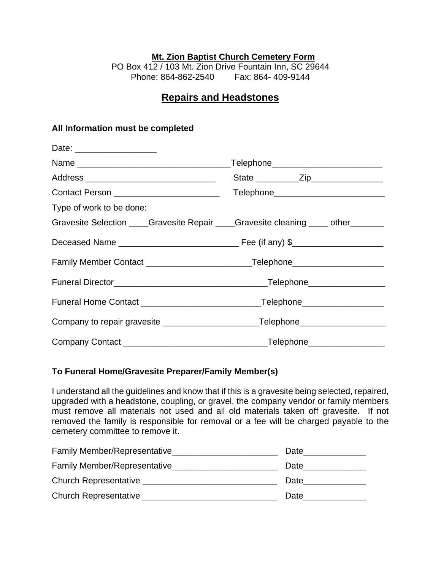#### **Mt. Zion Baptist Church Cemetery Form**

PO Box 412 / 103 Mt. Zion Drive Fountain Inn, SC 29644 Phone: 864-862-2540 Fax: 864- 409-9144

#### **Repairs and Headstones**

#### **All Information must be completed**

| Date: ____________________                                                         |                                           |
|------------------------------------------------------------------------------------|-------------------------------------------|
|                                                                                    | _Telephone__________________________      |
| Address __________________________________                                         |                                           |
| Contact Person ________________________                                            | Telephone________________________________ |
| Type of work to be done:                                                           |                                           |
| Gravesite Selection ____Gravesite Repair ____Gravesite cleaning _____ other ______ |                                           |
|                                                                                    |                                           |
|                                                                                    |                                           |
|                                                                                    |                                           |
|                                                                                    |                                           |
| Company to repair gravesite _____________________________Telephone_______________  |                                           |
|                                                                                    |                                           |

#### **To Funeral Home/Gravesite Preparer/Family Member(s)**

I understand all the guidelines and know that if this is a gravesite being selected, repaired, upgraded with a headstone, coupling, or gravel, the company vendor or family members must remove all materials not used and all old materials taken off gravesite. If not removed the family is responsible for removal or a fee will be charged payable to the cemetery committee to remove it.

| Family Member/Representative | Date |
|------------------------------|------|
| Family Member/Representative | Date |
| <b>Church Representative</b> | Date |
| <b>Church Representative</b> | Date |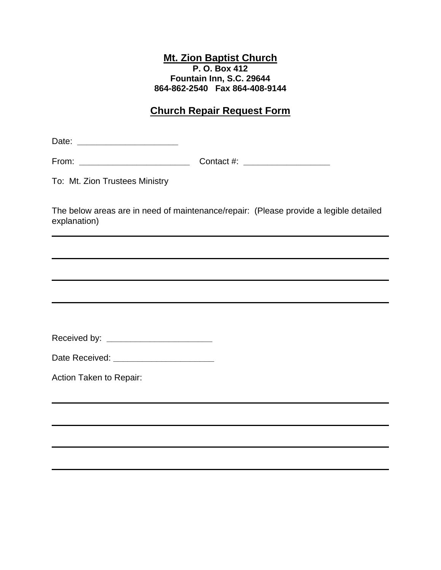#### **Mt. Zion Baptist Church P. O. Box 412 Fountain Inn, S.C. 29644 864-862-2540 Fax 864-408-9144**

#### **Church Repair Request Form**

Date: **\_\_\_\_\_\_\_\_\_\_\_\_\_\_\_\_\_\_\_\_\_**

From: **\_\_\_\_\_\_\_\_\_\_\_\_\_\_\_\_\_\_\_\_\_\_\_** Contact #: **\_\_\_\_\_\_\_\_\_\_\_\_\_\_\_\_\_\_**

To: Mt. Zion Trustees Ministry

The below areas are in need of maintenance/repair: (Please provide a legible detailed explanation)

| Received by: |  |
|--------------|--|
|--------------|--|

Date Received: **\_\_\_\_\_\_\_\_\_\_\_\_\_\_\_\_\_\_\_\_\_**

Action Taken to Repair: